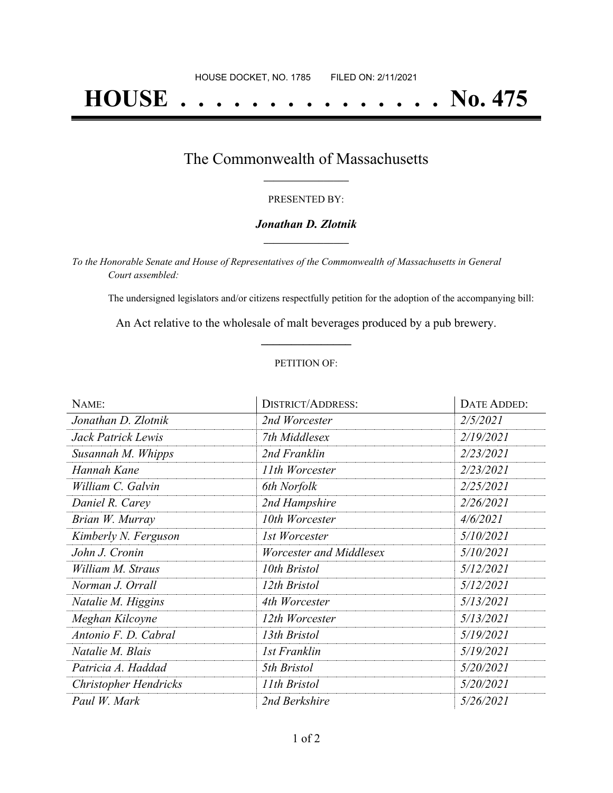# **HOUSE . . . . . . . . . . . . . . . No. 475**

## The Commonwealth of Massachusetts **\_\_\_\_\_\_\_\_\_\_\_\_\_\_\_\_\_**

#### PRESENTED BY:

#### *Jonathan D. Zlotnik* **\_\_\_\_\_\_\_\_\_\_\_\_\_\_\_\_\_**

*To the Honorable Senate and House of Representatives of the Commonwealth of Massachusetts in General Court assembled:*

The undersigned legislators and/or citizens respectfully petition for the adoption of the accompanying bill:

An Act relative to the wholesale of malt beverages produced by a pub brewery. **\_\_\_\_\_\_\_\_\_\_\_\_\_\_\_**

#### PETITION OF:

| NAME:                 | <b>DISTRICT/ADDRESS:</b> | DATE ADDED: |
|-----------------------|--------------------------|-------------|
| Jonathan D. Zlotnik   | 2nd Worcester            | 2/5/2021    |
| Jack Patrick Lewis    | 7th Middlesex            | 2/19/2021   |
| Susannah M. Whipps    | 2nd Franklin             | 2/23/2021   |
| Hannah Kane           | 11th Worcester           | 2/23/2021   |
| William C. Galvin     | 6th Norfolk              | 2/25/2021   |
| Daniel R. Carey       | 2nd Hampshire            | 2/26/2021   |
| Brian W. Murray       | 10th Worcester           | 4/6/2021    |
| Kimberly N. Ferguson  | 1st Worcester            | 5/10/2021   |
| John J. Cronin        | Worcester and Middlesex  | 5/10/2021   |
| William M. Straus     | 10th Bristol             | 5/12/2021   |
| Norman J. Orrall      | 12th Bristol             | 5/12/2021   |
| Natalie M. Higgins    | 4th Worcester            | 5/13/2021   |
| Meghan Kilcoyne       | 12th Worcester           | 5/13/2021   |
| Antonio F. D. Cabral  | 13th Bristol             | 5/19/2021   |
| Natalie M. Blais      | 1st Franklin             | 5/19/2021   |
| Patricia A. Haddad    | 5th Bristol              | 5/20/2021   |
| Christopher Hendricks | 11th Bristol             | 5/20/2021   |
| Paul W. Mark          | 2nd Berkshire            | 5/26/2021   |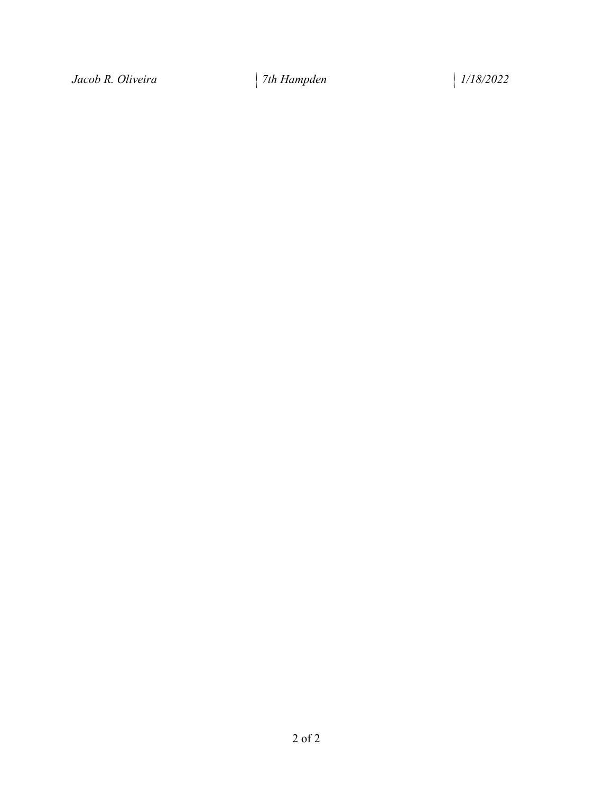*Jacob R. Oliveira 7th Hampden 1/18/2022*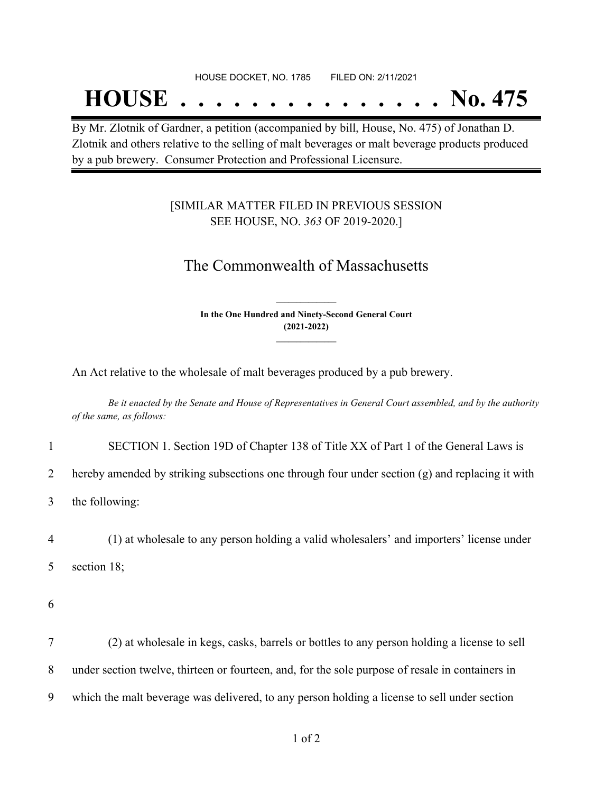#### HOUSE DOCKET, NO. 1785 FILED ON: 2/11/2021

## **HOUSE . . . . . . . . . . . . . . . No. 475**

By Mr. Zlotnik of Gardner, a petition (accompanied by bill, House, No. 475) of Jonathan D. Zlotnik and others relative to the selling of malt beverages or malt beverage products produced by a pub brewery. Consumer Protection and Professional Licensure.

### [SIMILAR MATTER FILED IN PREVIOUS SESSION SEE HOUSE, NO. *363* OF 2019-2020.]

## The Commonwealth of Massachusetts

**In the One Hundred and Ninety-Second General Court (2021-2022) \_\_\_\_\_\_\_\_\_\_\_\_\_\_\_**

**\_\_\_\_\_\_\_\_\_\_\_\_\_\_\_**

An Act relative to the wholesale of malt beverages produced by a pub brewery.

Be it enacted by the Senate and House of Representatives in General Court assembled, and by the authority *of the same, as follows:*

1 SECTION 1. Section 19D of Chapter 138 of Title XX of Part 1 of the General Laws is

2 hereby amended by striking subsections one through four under section (g) and replacing it with

3 the following:

4 (1) at wholesale to any person holding a valid wholesalers' and importers' license under 5 section 18;

6

7 (2) at wholesale in kegs, casks, barrels or bottles to any person holding a license to sell 8 under section twelve, thirteen or fourteen, and, for the sole purpose of resale in containers in 9 which the malt beverage was delivered, to any person holding a license to sell under section